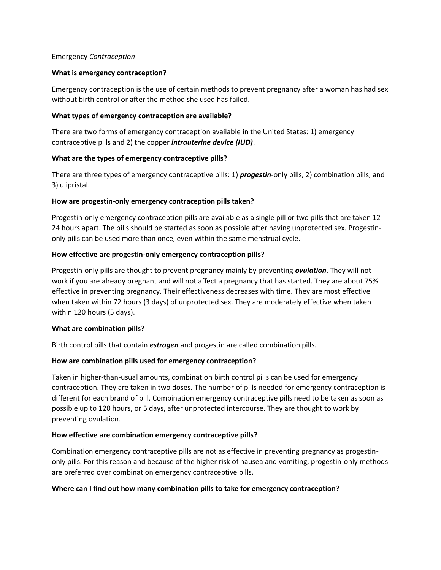#### Emergency *Contraception*

### **What is emergency contraception?**

Emergency contraception is the use of certain methods to prevent pregnancy after a woman has had sex without birth control or after the method she used has failed.

### **What types of emergency contraception are available?**

There are two forms of emergency contraception available in the United States: 1) emergency contraceptive pills and 2) the copper *intrauterine device (IUD)*.

## **What are the types of emergency contraceptive pills?**

There are three types of emergency contraceptive pills: 1) *progestin*-only pills, 2) combination pills, and 3) ulipristal.

### **How are progestin-only emergency contraception pills taken?**

Progestin-only emergency contraception pills are available as a single pill or two pills that are taken 12- 24 hours apart. The pills should be started as soon as possible after having unprotected sex. Progestinonly pills can be used more than once, even within the same menstrual cycle.

### **How effective are progestin-only emergency contraception pills?**

Progestin-only pills are thought to prevent pregnancy mainly by preventing *ovulation*. They will not work if you are already pregnant and will not affect a pregnancy that has started. They are about 75% effective in preventing pregnancy. Their effectiveness decreases with time. They are most effective when taken within 72 hours (3 days) of unprotected sex. They are moderately effective when taken within 120 hours (5 days).

## **What are combination pills?**

Birth control pills that contain *estrogen* and progestin are called combination pills.

## **How are combination pills used for emergency contraception?**

Taken in higher-than-usual amounts, combination birth control pills can be used for emergency contraception. They are taken in two doses. The number of pills needed for emergency contraception is different for each brand of pill. Combination emergency contraceptive pills need to be taken as soon as possible up to 120 hours, or 5 days, after unprotected intercourse. They are thought to work by preventing ovulation.

## **How effective are combination emergency contraceptive pills?**

Combination emergency contraceptive pills are not as effective in preventing pregnancy as progestinonly pills. For this reason and because of the higher risk of nausea and vomiting, progestin-only methods are preferred over combination emergency contraceptive pills.

#### **Where can I find out how many combination pills to take for emergency contraception?**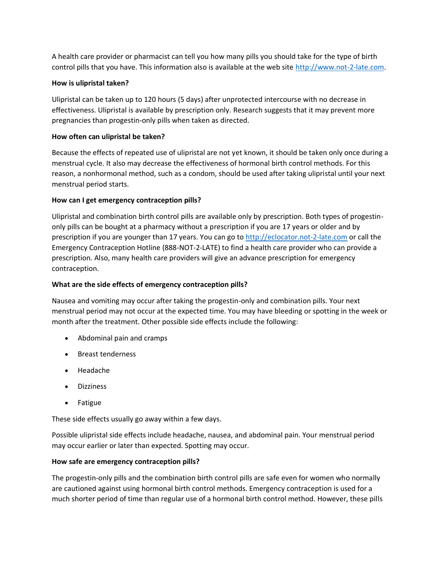A health care provider or pharmacist can tell you how many pills you should take for the type of birth control pills that you have. This information also is available at the web site [http://www.not-2-late.com.](http://www.not-2-late.com/)

# **How is ulipristal taken?**

Ulipristal can be taken up to 120 hours (5 days) after unprotected intercourse with no decrease in effectiveness. Ulipristal is available by prescription only. Research suggests that it may prevent more pregnancies than progestin-only pills when taken as directed.

# **How often can ulipristal be taken?**

Because the effects of repeated use of ulipristal are not yet known, it should be taken only once during a menstrual cycle. It also may decrease the effectiveness of hormonal birth control methods. For this reason, a nonhormonal method, such as a condom, should be used after taking ulipristal until your next menstrual period starts.

# **How can I get emergency contraception pills?**

Ulipristal and combination birth control pills are available only by prescription. Both types of progestinonly pills can be bought at a pharmacy without a prescription if you are 17 years or older and by prescription if you are younger than 17 years. You can go to [http://eclocator.not-2-late.com](http://eclocator.not-2-late.com/) or call the Emergency Contraception Hotline (888-NOT-2-LATE) to find a health care provider who can provide a prescription. Also, many health care providers will give an advance prescription for emergency contraception.

## **What are the side effects of emergency contraception pills?**

Nausea and vomiting may occur after taking the progestin-only and combination pills. Your next menstrual period may not occur at the expected time. You may have bleeding or spotting in the week or month after the treatment. Other possible side effects include the following:

- Abdominal pain and cramps
- Breast tenderness
- Headache
- Dizziness
- Fatigue

These side effects usually go away within a few days.

Possible ulipristal side effects include headache, nausea, and abdominal pain. Your menstrual period may occur earlier or later than expected. Spotting may occur.

## **How safe are emergency contraception pills?**

The progestin-only pills and the combination birth control pills are safe even for women who normally are cautioned against using hormonal birth control methods. Emergency contraception is used for a much shorter period of time than regular use of a hormonal birth control method. However, these pills